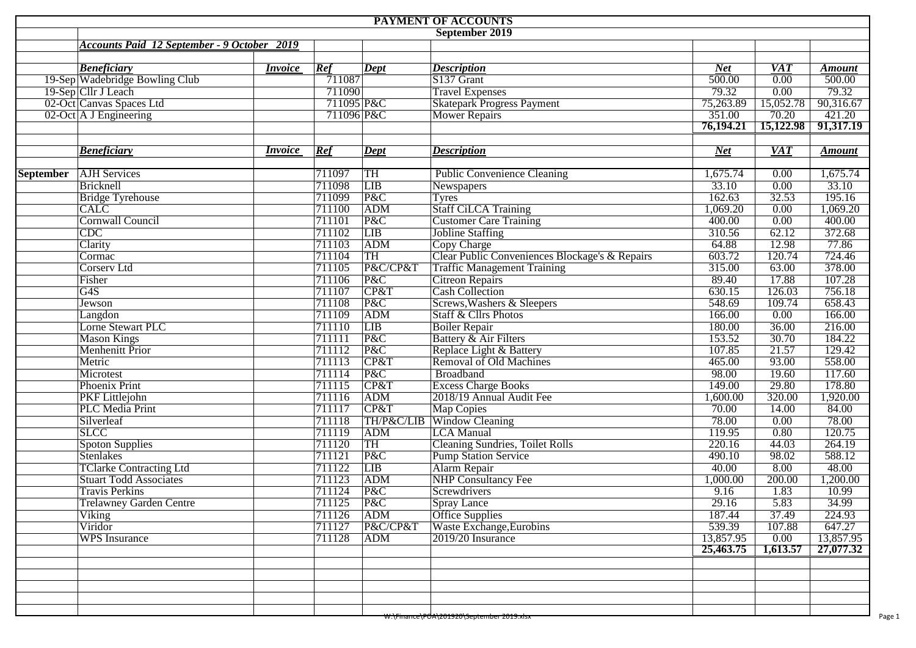| PAYMENT OF ACCOUNTS |                                                    |                |            |            |                                                |            |                  |               |  |  |  |  |  |
|---------------------|----------------------------------------------------|----------------|------------|------------|------------------------------------------------|------------|------------------|---------------|--|--|--|--|--|
|                     |                                                    |                |            |            | September 2019                                 |            |                  |               |  |  |  |  |  |
|                     | <b>Accounts Paid 12 September - 9 October 2019</b> |                |            |            |                                                |            |                  |               |  |  |  |  |  |
|                     |                                                    |                |            |            |                                                |            |                  |               |  |  |  |  |  |
|                     | <b>Beneficiary</b>                                 | <i>Invoice</i> | Ref        | Dept       | <b>Description</b>                             | <b>Net</b> | <b>VAT</b>       | <b>Amount</b> |  |  |  |  |  |
|                     | 19-Sep Wadebridge Bowling Club                     |                | 711087     |            | S137 Grant                                     | 500.00     | 0.00             | 500.00        |  |  |  |  |  |
|                     | 19-Sep Cllr J Leach<br>02-Oct Canvas Spaces Ltd    |                | 711090     |            | <b>Travel Expenses</b>                         | 79.32      | 0.00             | 79.32         |  |  |  |  |  |
|                     |                                                    |                | 711095 P&C |            | <b>Skatepark Progress Payment</b>              | 75,263.89  | 15,052.78        | 90,316.67     |  |  |  |  |  |
|                     | 02-Oct A J Engineering                             |                | 711096 P&C |            | Mower Repairs                                  | 351.00     | 70.20            | 421.20        |  |  |  |  |  |
|                     |                                                    |                |            |            |                                                | 76,194.21  | 15,122.98        | 91,317.19     |  |  |  |  |  |
|                     | <b>Beneficiary</b>                                 | <i>Invoice</i> | Ref        | Dept       | <b>Description</b>                             | <b>Net</b> | $\overline{VAT}$ | <b>Amount</b> |  |  |  |  |  |
|                     |                                                    |                |            |            |                                                |            |                  |               |  |  |  |  |  |
| <b>September</b>    | <b>AJH</b> Services                                |                | 711097     | <b>TH</b>  | <b>Public Convenience Cleaning</b>             | 1,675.74   | 0.00             | 1,675.74      |  |  |  |  |  |
|                     | Bricknell                                          |                | 711098     | <b>LIB</b> | Newspapers                                     | 33.10      | 0.00             | 33.10         |  |  |  |  |  |
|                     | <b>Bridge Tyrehouse</b>                            |                | 711099     | P&C        | <b>Tyres</b>                                   | 162.63     | 32.53            | 195.16        |  |  |  |  |  |
|                     | <b>CALC</b>                                        |                | 711100     | ADM        | <b>Staff CiLCA Training</b>                    | 1,069.20   | 0.00             | 1,069.20      |  |  |  |  |  |
|                     | <b>Cornwall Council</b>                            |                | 711101     | P&C        | <b>Customer Care Training</b>                  | 400.00     | 0.00             | 400.00        |  |  |  |  |  |
|                     | CDC                                                |                | 711102     | LIB        | <b>Jobline Staffing</b>                        | 310.56     | 62.12            | 372.68        |  |  |  |  |  |
|                     | Clarity                                            |                | 711103     | <b>ADM</b> | Copy Charge                                    | 64.88      | 12.98            | 77.86         |  |  |  |  |  |
|                     | Cormac                                             |                | 711104     | TH         | Clear Public Conveniences Blockage's & Repairs | 603.72     | 120.74           | 724.46        |  |  |  |  |  |
|                     | <b>Corserv Ltd</b>                                 |                | 711105     | P&C/CP&T   | <b>Traffic Management Training</b>             | 315.00     | 63.00            | 378.00        |  |  |  |  |  |
|                     | Fisher                                             |                | 711106     | P&C        | Citreon Repairs<br>Cash Collection             | 89.40      | 17.88            | 107.28        |  |  |  |  |  |
|                     | $\overline{G4S}$                                   |                | 711107     | CP&T       |                                                | 630.15     | 126.03           | 756.18        |  |  |  |  |  |
|                     | Jewson                                             |                | 711108     | P&C        | Screws, Washers & Sleepers                     | 548.69     | 109.74           | 658.43        |  |  |  |  |  |
|                     | Langdon                                            |                | 711109     | ADM        | <b>Staff &amp; Cllrs Photos</b>                | 166.00     | 0.00             | 166.00        |  |  |  |  |  |
|                     | Lorne Stewart PLC                                  |                | 711110     | LIB        | <b>Boiler Repair</b>                           | 180.00     | 36.00            | 216.00        |  |  |  |  |  |
|                     | <b>Mason Kings</b>                                 |                | 711111     | P&C        | Battery & Air Filters                          | 153.52     | 30.70            | 184.22        |  |  |  |  |  |
|                     | Menhenitt Prior                                    |                | 711112     | P&C        | Replace Light & Battery                        | 107.85     | 21.57            | 129.42        |  |  |  |  |  |
|                     | Metric                                             |                | 711113     | CP&T       | Removal of Old Machines                        | 465.00     | 93.00            | 558.00        |  |  |  |  |  |
|                     | Microtest                                          |                | 711114     | P&C        | Broadband                                      | 98.00      | 19.60            | 117.60        |  |  |  |  |  |
|                     | <b>Phoenix Print</b>                               |                | 711115     | CP&T       | <b>Excess Charge Books</b>                     | 149.00     | 29.80            | 178.80        |  |  |  |  |  |
|                     | <b>PKF</b> Littlejohn                              |                | 711116     | ADM        | 2018/19 Annual Audit Fee                       | 1,600.00   | 320.00           | 1,920.00      |  |  |  |  |  |
|                     | <b>PLC</b> Media Print                             |                | 711117     | CP&T       | Map Copies                                     | 70.00      | 14.00            | 84.00         |  |  |  |  |  |
|                     | Silverleaf                                         |                | 711118     |            | TH/P&C/LIB Window Cleaning                     | 78.00      | 0.00             | 78.00         |  |  |  |  |  |
|                     | <b>SLCC</b>                                        |                | 711119     | ADM        | <b>LCA</b> Manual                              | 119.95     | 0.80             | 120.75        |  |  |  |  |  |
|                     | <b>Spoton Supplies</b>                             |                | 711120     | <b>TH</b>  | <b>Cleaning Sundries, Toilet Rolls</b>         | 220.16     | 44.03            | 264.19        |  |  |  |  |  |
|                     | <b>Stenlakes</b>                                   |                | 711121     | P&C        | <b>Pump Station Service</b>                    | 490.10     | 98.02            | 588.12        |  |  |  |  |  |
|                     | <b>TClarke Contracting Ltd</b>                     |                | 711122     | <b>LIB</b> | Alarm Repair                                   | 40.00      | 8.00             | 48.00         |  |  |  |  |  |
|                     | <b>Stuart Todd Associates</b>                      |                | 711123     | ADM        | NHP Consultancy Fee                            | 1,000.00   | 200.00           | 1,200.00      |  |  |  |  |  |
|                     | <b>Travis Perkins</b>                              |                | 711124     | P&C        | Screwdrivers                                   | 9.16       | 1.83             | 10.99         |  |  |  |  |  |
|                     | <b>Trelawney Garden Centre</b>                     |                | 711125     | P&C        | <b>Spray Lance</b>                             | 29.16      | 5.83             | 34.99         |  |  |  |  |  |
|                     | Viking                                             |                | 711126     | ADM        | <b>Office Supplies</b>                         | 187.44     | 37.49            | 224.93        |  |  |  |  |  |
|                     | Viridor                                            |                | 711127     | P&C/CP&T   | Waste Exchange, Eurobins                       | 539.39     | 107.88           | 647.27        |  |  |  |  |  |
|                     | <b>WPS</b> Insurance                               |                | 711128     | <b>ADM</b> | 2019/20 Insurance                              | 13,857.95  | 0.00             | 13,857.95     |  |  |  |  |  |
|                     |                                                    |                |            |            |                                                | 25,463.75  | 1,613.57         | 27,077.32     |  |  |  |  |  |
|                     |                                                    |                |            |            |                                                |            |                  |               |  |  |  |  |  |
|                     |                                                    |                |            |            |                                                |            |                  |               |  |  |  |  |  |
|                     |                                                    |                |            |            |                                                |            |                  |               |  |  |  |  |  |
|                     |                                                    |                |            |            |                                                |            |                  |               |  |  |  |  |  |
|                     |                                                    |                |            |            |                                                |            |                  |               |  |  |  |  |  |